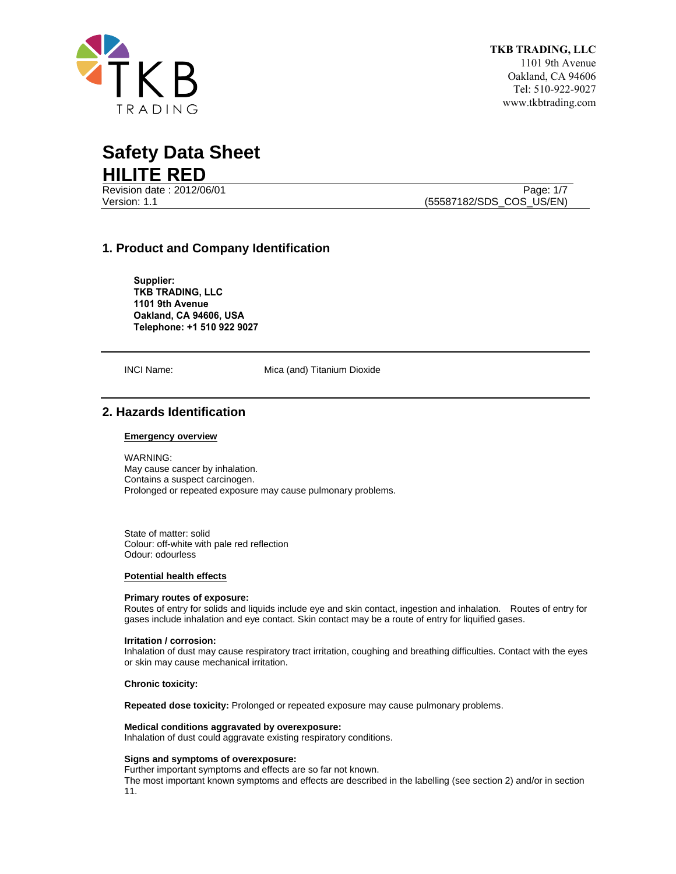

Revision date : 2012/06/01 Page: 1/7

Version: 1.1 (55587182/SDS\_COS\_US/EN)

# **1. Product and Company Identification**

**Supplier: TKB TRADING, LLC 1101 9th Avenue Oakland, CA 94606, USA Telephone: +1 510 922 9027**

INCI Name: Mica (and) Titanium Dioxide

# **2. Hazards Identification**

# **Emergency overview**

WARNING: May cause cancer by inhalation. Contains a suspect carcinogen. Prolonged or repeated exposure may cause pulmonary problems.

State of matter: solid Colour: off-white with pale red reflection Odour: odourless

## **Potential health effects**

#### **Primary routes of exposure:**

Routes of entry for solids and liquids include eye and skin contact, ingestion and inhalation. Routes of entry for gases include inhalation and eye contact. Skin contact may be a route of entry for liquified gases.

#### **Irritation / corrosion:**

Inhalation of dust may cause respiratory tract irritation, coughing and breathing difficulties. Contact with the eyes or skin may cause mechanical irritation.

#### **Chronic toxicity:**

**Repeated dose toxicity:** Prolonged or repeated exposure may cause pulmonary problems.

## **Medical conditions aggravated by overexposure:**

Inhalation of dust could aggravate existing respiratory conditions.

#### **Signs and symptoms of overexposure:**

Further important symptoms and effects are so far not known.

The most important known symptoms and effects are described in the labelling (see section 2) and/or in section 11.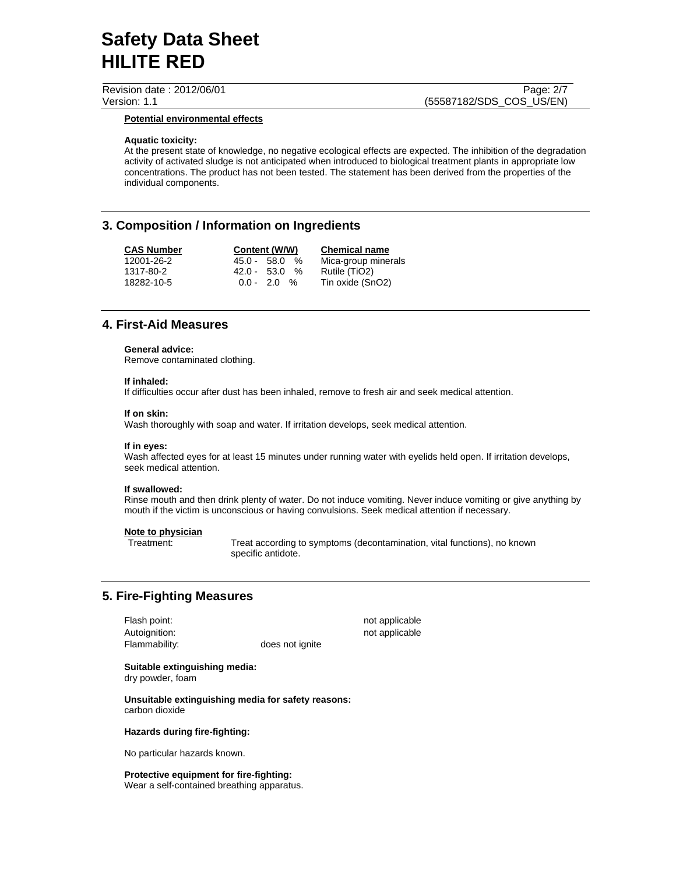Revision date : 2012/06/01 Page: 2/7

# Version: 1.1 (55587182/SDS\_COS\_US/EN)

## **Potential environmental effects**

## **Aquatic toxicity:**

At the present state of knowledge, no negative ecological effects are expected. The inhibition of the degradation activity of activated sludge is not anticipated when introduced to biological treatment plants in appropriate low concentrations. The product has not been tested. The statement has been derived from the properties of the individual components.

# **3. Composition / Information on Ingredients**

| <b>CAS Number</b> | Content (W/W)         | <b>Chemical name</b> |
|-------------------|-----------------------|----------------------|
| 12001-26-2        | $45.0 - 58.0$<br>%    | Mica-group minerals  |
| 1317-80-2         | $42.0 - 53.0$<br>$\%$ | Rutile (TiO2)        |
| 18282-10-5        | $0.0 - 2.0 %$         | Tin oxide (SnO2)     |

# **4. First-Aid Measures**

#### **General advice:**

Remove contaminated clothing.

#### **If inhaled:**

If difficulties occur after dust has been inhaled, remove to fresh air and seek medical attention.

#### **If on skin:**

Wash thoroughly with soap and water. If irritation develops, seek medical attention.

## **If in eyes:**

Wash affected eyes for at least 15 minutes under running water with eyelids held open. If irritation develops, seek medical attention.

#### **If swallowed:**

Rinse mouth and then drink plenty of water. Do not induce vomiting. Never induce vomiting or give anything by mouth if the victim is unconscious or having convulsions. Seek medical attention if necessary.

#### **Note to physician**

Treatment: Treat according to symptoms (decontamination, vital functions), no known specific antidote.

# **5. Fire-Fighting Measures**

Flash point: not applicable not applicable Autoignition: not applicable Flammability: does not ignite

**Suitable extinguishing media:**  dry powder, foam

**Unsuitable extinguishing media for safety reasons:**  carbon dioxide

#### **Hazards during fire-fighting:**

No particular hazards known.

**Protective equipment for fire-fighting:** Wear a self-contained breathing apparatus.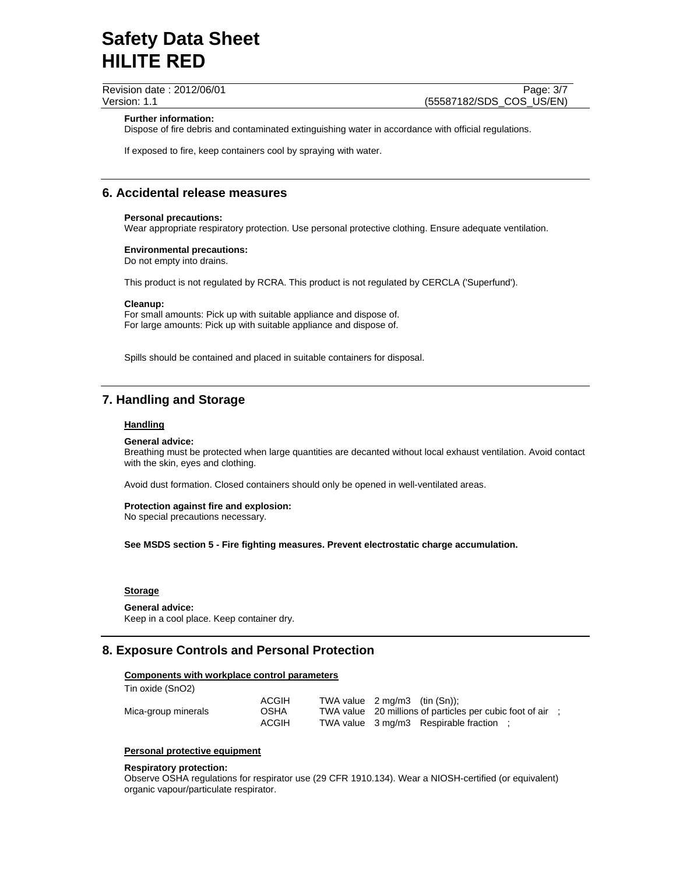Revision date : 2012/06/01 Page: 3/7

Version: 1.1 (55587182/SDS\_COS\_US/EN)

### **Further information:**

Dispose of fire debris and contaminated extinguishing water in accordance with official regulations.

If exposed to fire, keep containers cool by spraying with water.

# **6. Accidental release measures**

#### **Personal precautions:**

Wear appropriate respiratory protection. Use personal protective clothing. Ensure adequate ventilation.

#### **Environmental precautions:**

Do not empty into drains.

This product is not regulated by RCRA. This product is not regulated by CERCLA ('Superfund').

### **Cleanup:**

For small amounts: Pick up with suitable appliance and dispose of. For large amounts: Pick up with suitable appliance and dispose of.

Spills should be contained and placed in suitable containers for disposal.

# **7. Handling and Storage**

#### **Handling**

#### **General advice:**

Breathing must be protected when large quantities are decanted without local exhaust ventilation. Avoid contact with the skin, eyes and clothing.

Avoid dust formation. Closed containers should only be opened in well-ventilated areas.

#### **Protection against fire and explosion:** No special precautions necessary.

**See MSDS section 5 - Fire fighting measures. Prevent electrostatic charge accumulation.** 

# **Storage**

**General advice:** Keep in a cool place. Keep container dry.

# **8. Exposure Controls and Personal Protection**

## **Components with workplace control parameters**

| Tin oxide (SnO2)    |              |                                                            |
|---------------------|--------------|------------------------------------------------------------|
|                     | <b>ACGIH</b> | TWA value $2 \text{ mg/m}3$ (tin $(Sn)$ );                 |
| Mica-group minerals | <b>OSHA</b>  | TWA value 20 millions of particles per cubic foot of air : |
|                     | <b>ACGIH</b> | TWA value 3 mg/m3 Respirable fraction :                    |

## **Personal protective equipment**

#### **Respiratory protection:**

Observe OSHA regulations for respirator use (29 CFR 1910.134). Wear a NIOSH-certified (or equivalent) organic vapour/particulate respirator.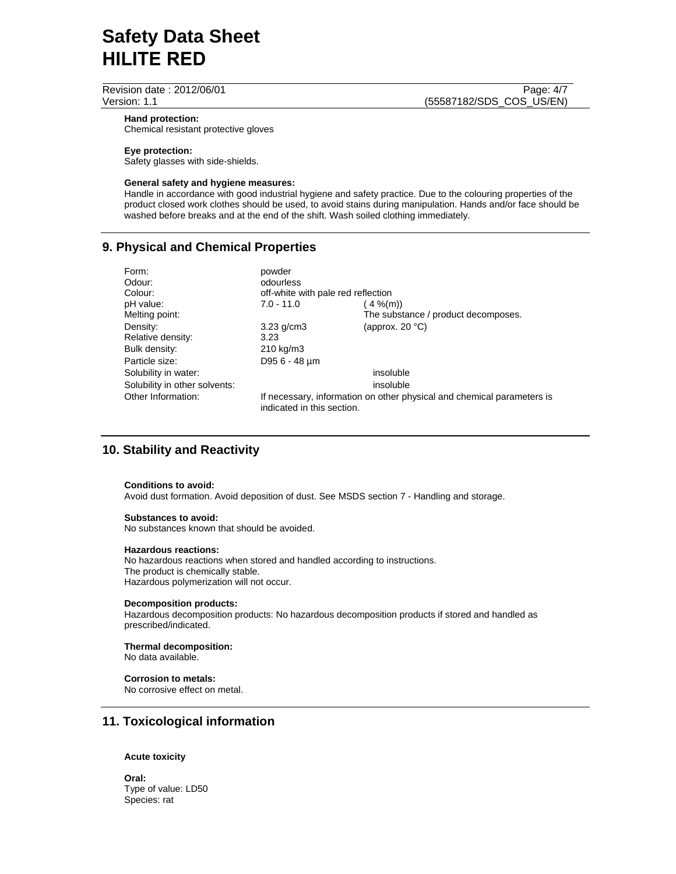Revision date : 2012/06/01 Page: 4/7

Version: 1.1 (55587182/SDS\_COS\_US/EN)

#### **Hand protection:**

Chemical resistant protective gloves

## **Eye protection:**

Safety glasses with side-shields.

#### **General safety and hygiene measures:**

Handle in accordance with good industrial hygiene and safety practice. Due to the colouring properties of the product closed work clothes should be used, to avoid stains during manipulation. Hands and/or face should be washed before breaks and at the end of the shift. Wash soiled clothing immediately.

# **9. Physical and Chemical Properties**

| Form:                         | powder                             |                                                                        |  |
|-------------------------------|------------------------------------|------------------------------------------------------------------------|--|
| Odour:                        | odourless                          |                                                                        |  |
| Colour:                       | off-white with pale red reflection |                                                                        |  |
| pH value:                     | $7.0 - 11.0$                       | $4\%$ (m))                                                             |  |
| Melting point:                |                                    | The substance / product decomposes.                                    |  |
| Density:                      | $3.23$ g/cm $3$                    | (approx. $20 °C$ )                                                     |  |
| Relative density:             | 3.23                               |                                                                        |  |
| Bulk density:                 | 210 kg/m3                          |                                                                        |  |
| Particle size:                | D95 6 - 48 µm                      |                                                                        |  |
| Solubility in water:          |                                    | insoluble                                                              |  |
| Solubility in other solvents: |                                    | insoluble                                                              |  |
| Other Information:            | indicated in this section.         | If necessary, information on other physical and chemical parameters is |  |

# **10. Stability and Reactivity**

#### **Conditions to avoid:**

Avoid dust formation. Avoid deposition of dust. See MSDS section 7 - Handling and storage.

#### **Substances to avoid:**

No substances known that should be avoided.

#### **Hazardous reactions:**

No hazardous reactions when stored and handled according to instructions. The product is chemically stable. Hazardous polymerization will not occur.

### **Decomposition products:**

Hazardous decomposition products: No hazardous decomposition products if stored and handled as prescribed/indicated.

#### **Thermal decomposition:**

No data available.

# **Corrosion to metals:**

No corrosive effect on metal.

# **11. Toxicological information**

## **Acute toxicity**

**Oral:** Type of value: LD50 Species: rat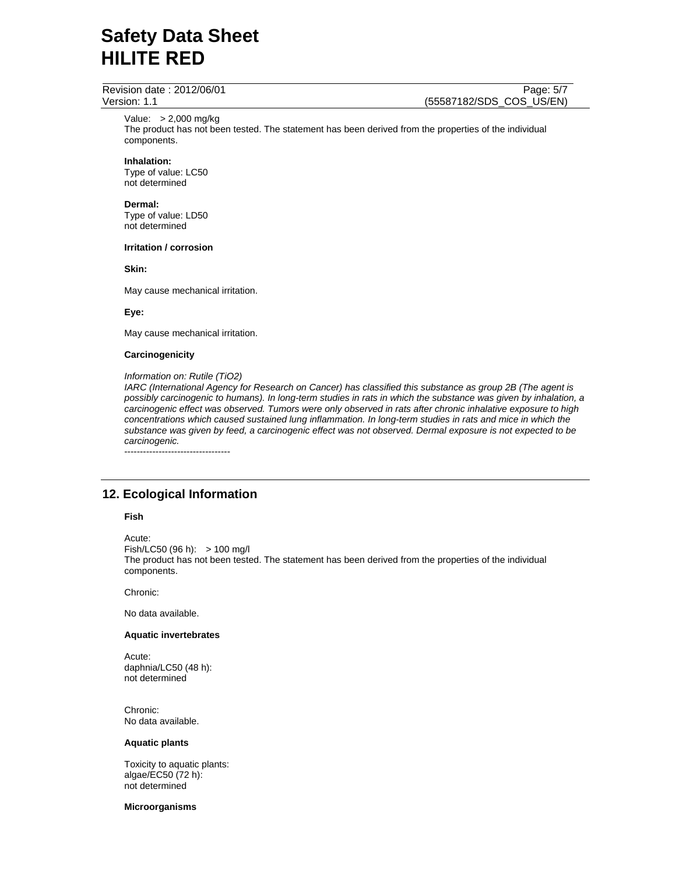Revision date : 2012/06/01 Page: 5/7

Version: 1.1 (55587182/SDS\_COS\_US/EN)

Value: > 2,000 mg/kg

The product has not been tested. The statement has been derived from the properties of the individual components.

# **Inhalation:**

Type of value: LC50 not determined

### **Dermal:**

Type of value: LD50 not determined

## **Irritation / corrosion**

**Skin:** 

May cause mechanical irritation.

# **Eye:**

May cause mechanical irritation.

### **Carcinogenicity**

### *Information on: Rutile (TiO2)*

*IARC (International Agency for Research on Cancer) has classified this substance as group 2B (The agent is possibly carcinogenic to humans). In long-term studies in rats in which the substance was given by inhalation, a carcinogenic effect was observed. Tumors were only observed in rats after chronic inhalative exposure to high concentrations which caused sustained lung inflammation. In long-term studies in rats and mice in which the substance was given by feed, a carcinogenic effect was not observed. Dermal exposure is not expected to be carcinogenic.* 

----------------------------------

# **12. Ecological Information**

## **Fish**

Acute: Fish/LC50 (96 h): > 100 mg/l The product has not been tested. The statement has been derived from the properties of the individual components.

Chronic:

No data available.

## **Aquatic invertebrates**

Acute: daphnia/LC50 (48 h): not determined

Chronic: No data available.

#### **Aquatic plants**

Toxicity to aquatic plants: algae/EC50 (72 h): not determined

## **Microorganisms**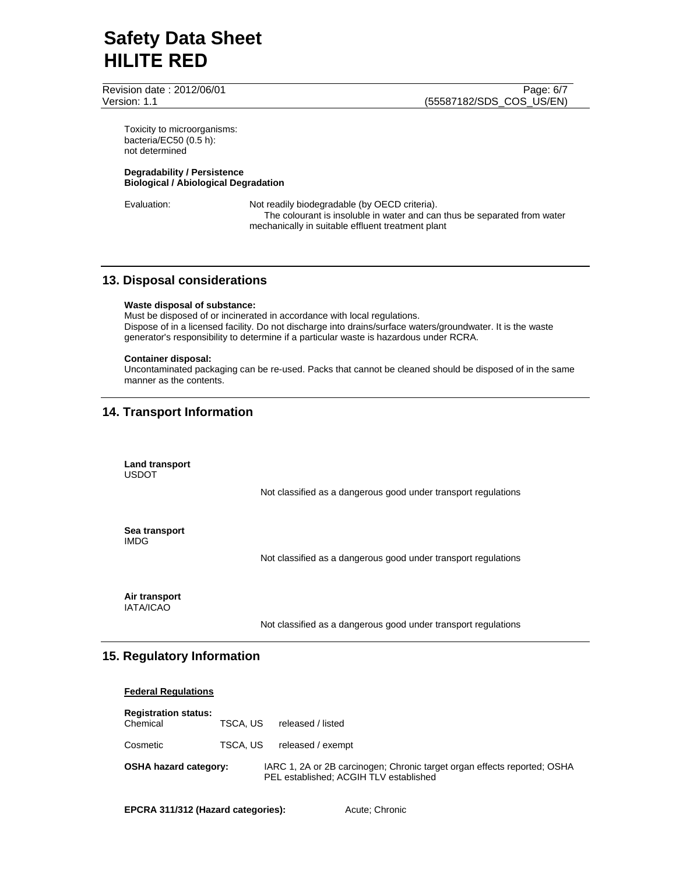Revision date : 2012/06/01 Page: 6/7

Version: 1.1 (55587182/SDS\_COS\_US/EN)

Toxicity to microorganisms: bacteria/EC50 (0.5 h): not determined

## **Degradability / Persistence Biological / Abiological Degradation**

Evaluation: Not readily biodegradable (by OECD criteria). The colourant is insoluble in water and can thus be separated from water mechanically in suitable effluent treatment plant

# **13. Disposal considerations**

#### **Waste disposal of substance:**

Must be disposed of or incinerated in accordance with local regulations. Dispose of in a licensed facility. Do not discharge into drains/surface waters/groundwater. It is the waste generator's responsibility to determine if a particular waste is hazardous under RCRA.

## **Container disposal:**

Uncontaminated packaging can be re-used. Packs that cannot be cleaned should be disposed of in the same manner as the contents.

# **14. Transport Information**

**Land transport**  USDOT Not classified as a dangerous good under transport regulations **Sea transport**  IMDG Not classified as a dangerous good under transport regulations **Air transport**  IATA/ICAO

Not classified as a dangerous good under transport regulations

# **15. Regulatory Information**

## **Federal Regulations**

| <b>Registration status:</b><br>Chemical | TSCA. US | released / listed                                                                                                  |
|-----------------------------------------|----------|--------------------------------------------------------------------------------------------------------------------|
| Cosmetic                                | TSCA. US | released / exempt                                                                                                  |
| <b>OSHA hazard category:</b>            |          | IARC 1, 2A or 2B carcinogen; Chronic target organ effects reported; OSHA<br>PEL established: ACGIH TLV established |

**EPCRA 311/312 (Hazard categories):** Acute; Chronic